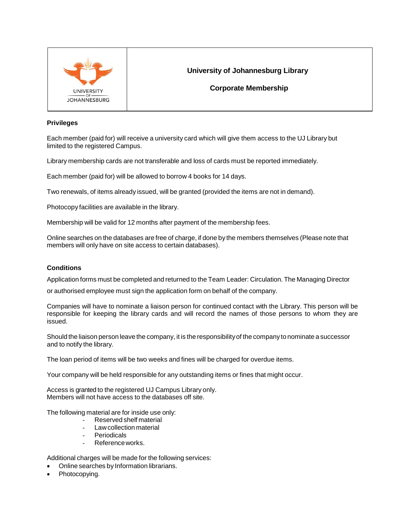

# **University of Johannesburg Library**

**Corporate Membership**

## **Privileges**

Each member (paid for) will receive a university card which will give them access to the UJ Library but limited to the registered Campus.

Library membership cards are not transferable and loss of cards must be reported immediately.

Each member (paid for) will be allowed to borrow 4 books for 14 days.

Two renewals, of items already issued, will be granted (provided the items are not in demand).

Photocopy facilities are available in the library.

Membership will be valid for 12 months after payment of the membership fees.

Online searches on the databases are free of charge, if done by the members themselves (Please note that members will only have on site access to certain databases).

## **Conditions**

Application forms must be completed and returned to the Team Leader: Circulation. The Managing Director

or authorised employee must sign the application form on behalf of the company.

Companies will have to nominate a liaison person for continued contact with the Library. This person will be responsible for keeping the library cards and will record the names of those persons to whom they are issued.

Should the liaison person leave the company, it is the responsibilityof the company to nominate a successor and to notify the library.

The loan period of items will be two weeks and fines will be charged for overdue items.

Your company will be held responsible for any outstanding items or fines that might occur.

Access is granted to the registered UJ Campus Library only. Members will not have access to the databases off site.

The following material are for inside use only:

- Reserved shelf material
- Law collection material
- Periodicals
- Referenceworks.

Additional charges will be made for the following services:

- Online searches by Information librarians.
- Photocopying.